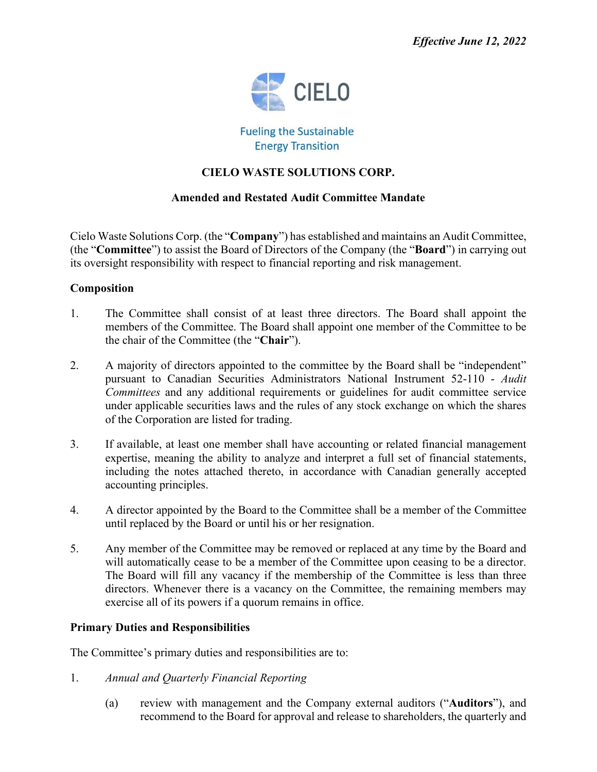

**Fueling the Sustainable Energy Transition** 

# **CIELO WASTE SOLUTIONS CORP.**

## **Amended and Restated Audit Committee Mandate**

Cielo Waste Solutions Corp. (the "**Company**") has established and maintains an Audit Committee, (the "**Committee**") to assist the Board of Directors of the Company (the "**Board**") in carrying out its oversight responsibility with respect to financial reporting and risk management.

## **Composition**

- 1. The Committee shall consist of at least three directors. The Board shall appoint the members of the Committee. The Board shall appoint one member of the Committee to be the chair of the Committee (the "**Chair**").
- 2. A majority of directors appointed to the committee by the Board shall be "independent" pursuant to Canadian Securities Administrators National Instrument 52-110 - *Audit Committees* and any additional requirements or guidelines for audit committee service under applicable securities laws and the rules of any stock exchange on which the shares of the Corporation are listed for trading.
- 3. If available, at least one member shall have accounting or related financial management expertise, meaning the ability to analyze and interpret a full set of financial statements, including the notes attached thereto, in accordance with Canadian generally accepted accounting principles.
- 4. A director appointed by the Board to the Committee shall be a member of the Committee until replaced by the Board or until his or her resignation.
- 5. Any member of the Committee may be removed or replaced at any time by the Board and will automatically cease to be a member of the Committee upon ceasing to be a director. The Board will fill any vacancy if the membership of the Committee is less than three directors. Whenever there is a vacancy on the Committee, the remaining members may exercise all of its powers if a quorum remains in office.

## **Primary Duties and Responsibilities**

The Committee's primary duties and responsibilities are to:

- 1. *Annual and Quarterly Financial Reporting*
	- (a) review with management and the Company external auditors ("**Auditors**"), and recommend to the Board for approval and release to shareholders, the quarterly and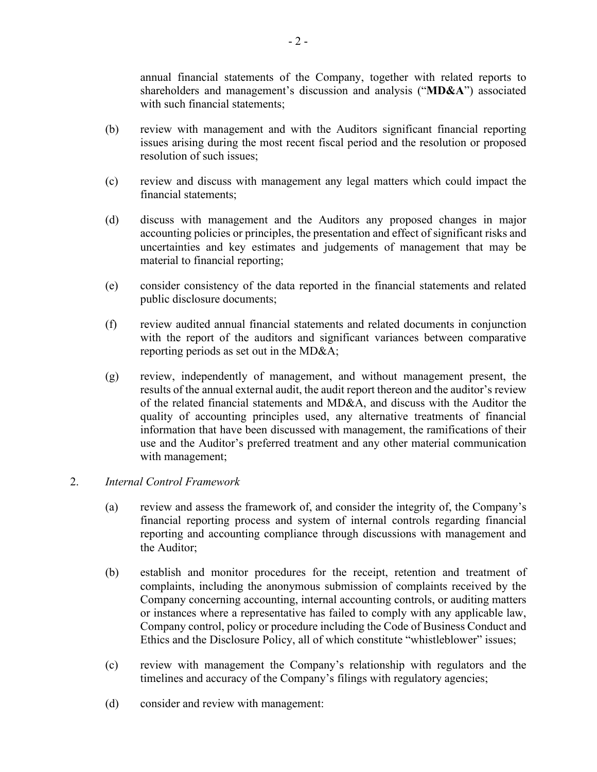annual financial statements of the Company, together with related reports to shareholders and management's discussion and analysis ("**MD&A**") associated with such financial statements;

- (b) review with management and with the Auditors significant financial reporting issues arising during the most recent fiscal period and the resolution or proposed resolution of such issues;
- (c) review and discuss with management any legal matters which could impact the financial statements;
- (d) discuss with management and the Auditors any proposed changes in major accounting policies or principles, the presentation and effect of significant risks and uncertainties and key estimates and judgements of management that may be material to financial reporting;
- (e) consider consistency of the data reported in the financial statements and related public disclosure documents;
- (f) review audited annual financial statements and related documents in conjunction with the report of the auditors and significant variances between comparative reporting periods as set out in the MD&A;
- (g) review, independently of management, and without management present, the results of the annual external audit, the audit report thereon and the auditor's review of the related financial statements and MD&A, and discuss with the Auditor the quality of accounting principles used, any alternative treatments of financial information that have been discussed with management, the ramifications of their use and the Auditor's preferred treatment and any other material communication with management;

## 2. *Internal Control Framework*

- (a) review and assess the framework of, and consider the integrity of, the Company's financial reporting process and system of internal controls regarding financial reporting and accounting compliance through discussions with management and the Auditor;
- (b) establish and monitor procedures for the receipt, retention and treatment of complaints, including the anonymous submission of complaints received by the Company concerning accounting, internal accounting controls, or auditing matters or instances where a representative has failed to comply with any applicable law, Company control, policy or procedure including the Code of Business Conduct and Ethics and the Disclosure Policy, all of which constitute "whistleblower" issues;
- (c) review with management the Company's relationship with regulators and the timelines and accuracy of the Company's filings with regulatory agencies;
- (d) consider and review with management: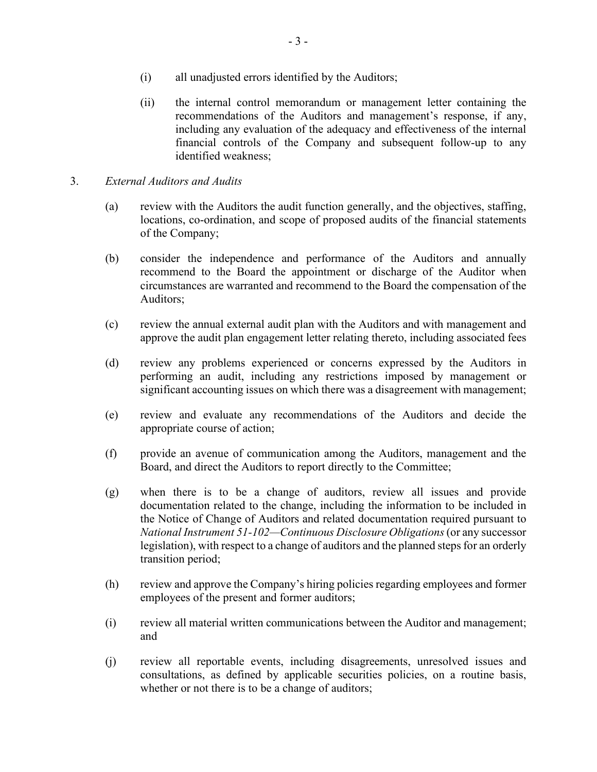- (i) all unadjusted errors identified by the Auditors;
- (ii) the internal control memorandum or management letter containing the recommendations of the Auditors and management's response, if any, including any evaluation of the adequacy and effectiveness of the internal financial controls of the Company and subsequent follow-up to any identified weakness;
- 3. *External Auditors and Audits*
	- (a) review with the Auditors the audit function generally, and the objectives, staffing, locations, co-ordination, and scope of proposed audits of the financial statements of the Company;
	- (b) consider the independence and performance of the Auditors and annually recommend to the Board the appointment or discharge of the Auditor when circumstances are warranted and recommend to the Board the compensation of the Auditors;
	- (c) review the annual external audit plan with the Auditors and with management and approve the audit plan engagement letter relating thereto, including associated fees
	- (d) review any problems experienced or concerns expressed by the Auditors in performing an audit, including any restrictions imposed by management or significant accounting issues on which there was a disagreement with management;
	- (e) review and evaluate any recommendations of the Auditors and decide the appropriate course of action;
	- (f) provide an avenue of communication among the Auditors, management and the Board, and direct the Auditors to report directly to the Committee;
	- (g) when there is to be a change of auditors, review all issues and provide documentation related to the change, including the information to be included in the Notice of Change of Auditors and related documentation required pursuant to *National Instrument 51-102—Continuous Disclosure Obligations*(or any successor legislation), with respect to a change of auditors and the planned steps for an orderly transition period;
	- (h) review and approve the Company's hiring policies regarding employees and former employees of the present and former auditors;
	- (i) review all material written communications between the Auditor and management; and
	- (j) review all reportable events, including disagreements, unresolved issues and consultations, as defined by applicable securities policies, on a routine basis, whether or not there is to be a change of auditors;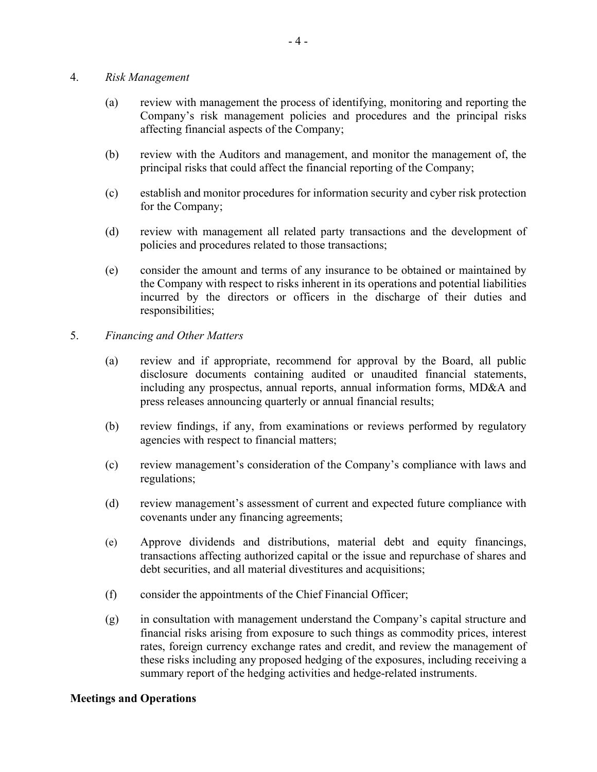#### 4. *Risk Management*

- (a) review with management the process of identifying, monitoring and reporting the Company's risk management policies and procedures and the principal risks affecting financial aspects of the Company;
- (b) review with the Auditors and management, and monitor the management of, the principal risks that could affect the financial reporting of the Company;
- (c) establish and monitor procedures for information security and cyber risk protection for the Company;
- (d) review with management all related party transactions and the development of policies and procedures related to those transactions;
- (e) consider the amount and terms of any insurance to be obtained or maintained by the Company with respect to risks inherent in its operations and potential liabilities incurred by the directors or officers in the discharge of their duties and responsibilities;
- 5. *Financing and Other Matters*
	- (a) review and if appropriate, recommend for approval by the Board, all public disclosure documents containing audited or unaudited financial statements, including any prospectus, annual reports, annual information forms, MD&A and press releases announcing quarterly or annual financial results;
	- (b) review findings, if any, from examinations or reviews performed by regulatory agencies with respect to financial matters;
	- (c) review management's consideration of the Company's compliance with laws and regulations;
	- (d) review management's assessment of current and expected future compliance with covenants under any financing agreements;
	- (e) Approve dividends and distributions, material debt and equity financings, transactions affecting authorized capital or the issue and repurchase of shares and debt securities, and all material divestitures and acquisitions;
	- (f) consider the appointments of the Chief Financial Officer;
	- (g) in consultation with management understand the Company's capital structure and financial risks arising from exposure to such things as commodity prices, interest rates, foreign currency exchange rates and credit, and review the management of these risks including any proposed hedging of the exposures, including receiving a summary report of the hedging activities and hedge-related instruments.

## **Meetings and Operations**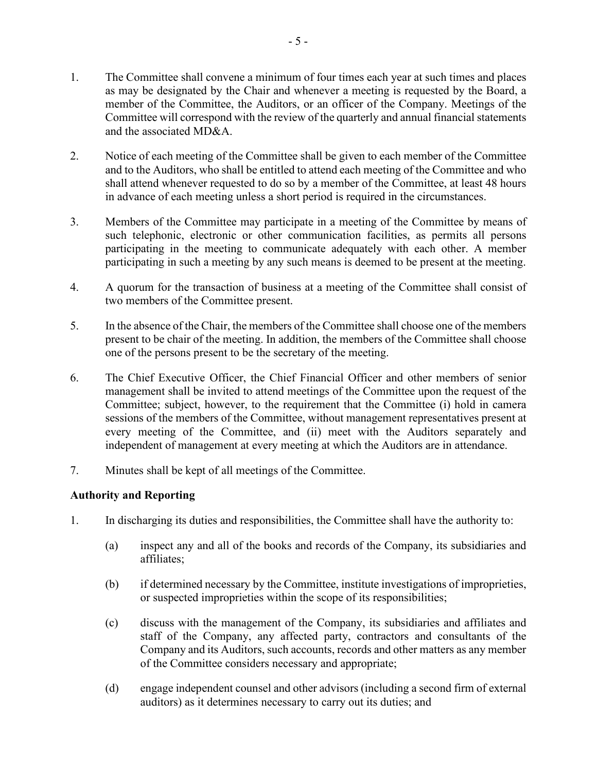- 1. The Committee shall convene a minimum of four times each year at such times and places as may be designated by the Chair and whenever a meeting is requested by the Board, a member of the Committee, the Auditors, or an officer of the Company. Meetings of the Committee will correspond with the review of the quarterly and annual financial statements and the associated MD&A.
- 2. Notice of each meeting of the Committee shall be given to each member of the Committee and to the Auditors, who shall be entitled to attend each meeting of the Committee and who shall attend whenever requested to do so by a member of the Committee, at least 48 hours in advance of each meeting unless a short period is required in the circumstances.
- 3. Members of the Committee may participate in a meeting of the Committee by means of such telephonic, electronic or other communication facilities, as permits all persons participating in the meeting to communicate adequately with each other. A member participating in such a meeting by any such means is deemed to be present at the meeting.
- 4. A quorum for the transaction of business at a meeting of the Committee shall consist of two members of the Committee present.
- 5. In the absence of the Chair, the members of the Committee shall choose one of the members present to be chair of the meeting. In addition, the members of the Committee shall choose one of the persons present to be the secretary of the meeting.
- 6. The Chief Executive Officer, the Chief Financial Officer and other members of senior management shall be invited to attend meetings of the Committee upon the request of the Committee; subject, however, to the requirement that the Committee (i) hold in camera sessions of the members of the Committee, without management representatives present at every meeting of the Committee, and (ii) meet with the Auditors separately and independent of management at every meeting at which the Auditors are in attendance.
- 7. Minutes shall be kept of all meetings of the Committee.

## **Authority and Reporting**

- 1. In discharging its duties and responsibilities, the Committee shall have the authority to:
	- (a) inspect any and all of the books and records of the Company, its subsidiaries and affiliates;
	- (b) if determined necessary by the Committee, institute investigations of improprieties, or suspected improprieties within the scope of its responsibilities;
	- (c) discuss with the management of the Company, its subsidiaries and affiliates and staff of the Company, any affected party, contractors and consultants of the Company and its Auditors, such accounts, records and other matters as any member of the Committee considers necessary and appropriate;
	- (d) engage independent counsel and other advisors (including a second firm of external auditors) as it determines necessary to carry out its duties; and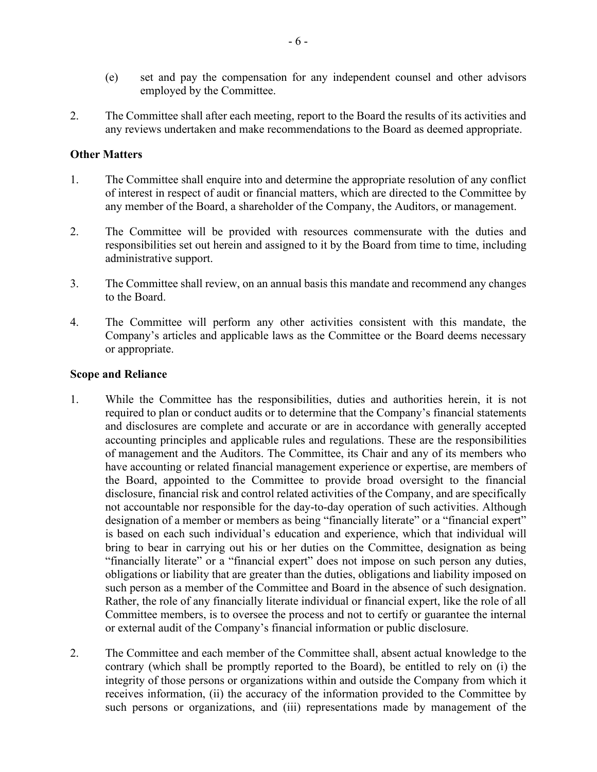- (e) set and pay the compensation for any independent counsel and other advisors employed by the Committee.
- 2. The Committee shall after each meeting, report to the Board the results of its activities and any reviews undertaken and make recommendations to the Board as deemed appropriate.

## **Other Matters**

- 1. The Committee shall enquire into and determine the appropriate resolution of any conflict of interest in respect of audit or financial matters, which are directed to the Committee by any member of the Board, a shareholder of the Company, the Auditors, or management.
- 2. The Committee will be provided with resources commensurate with the duties and responsibilities set out herein and assigned to it by the Board from time to time, including administrative support.
- 3. The Committee shall review, on an annual basis this mandate and recommend any changes to the Board.
- 4. The Committee will perform any other activities consistent with this mandate, the Company's articles and applicable laws as the Committee or the Board deems necessary or appropriate.

#### **Scope and Reliance**

- 1. While the Committee has the responsibilities, duties and authorities herein, it is not required to plan or conduct audits or to determine that the Company's financial statements and disclosures are complete and accurate or are in accordance with generally accepted accounting principles and applicable rules and regulations. These are the responsibilities of management and the Auditors. The Committee, its Chair and any of its members who have accounting or related financial management experience or expertise, are members of the Board, appointed to the Committee to provide broad oversight to the financial disclosure, financial risk and control related activities of the Company, and are specifically not accountable nor responsible for the day-to-day operation of such activities. Although designation of a member or members as being "financially literate" or a "financial expert" is based on each such individual's education and experience, which that individual will bring to bear in carrying out his or her duties on the Committee, designation as being "financially literate" or a "financial expert" does not impose on such person any duties, obligations or liability that are greater than the duties, obligations and liability imposed on such person as a member of the Committee and Board in the absence of such designation. Rather, the role of any financially literate individual or financial expert, like the role of all Committee members, is to oversee the process and not to certify or guarantee the internal or external audit of the Company's financial information or public disclosure.
- 2. The Committee and each member of the Committee shall, absent actual knowledge to the contrary (which shall be promptly reported to the Board), be entitled to rely on (i) the integrity of those persons or organizations within and outside the Company from which it receives information, (ii) the accuracy of the information provided to the Committee by such persons or organizations, and (iii) representations made by management of the